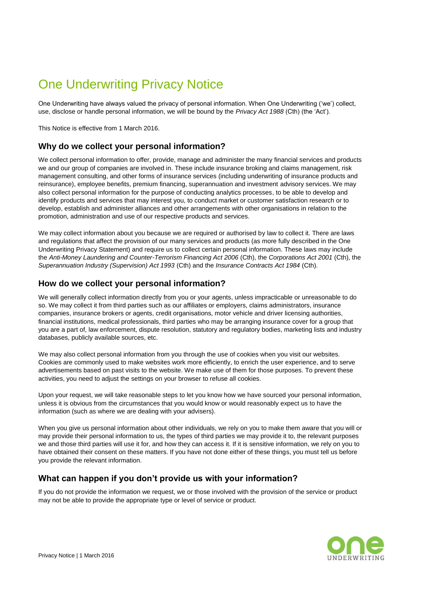# One Underwriting Privacy Notice

One Underwriting have always valued the privacy of personal information. When One Underwriting ('we') collect, use, disclose or handle personal information, we will be bound by the *Privacy Act 1988* (Cth) (the 'Act').

This Notice is effective from 1 March 2016.

## **Why do we collect your personal information?**

We collect personal information to offer, provide, manage and administer the many financial services and products we and our group of companies are involved in. These include insurance broking and claims management, risk management consulting, and other forms of insurance services (including underwriting of insurance products and reinsurance), employee benefits, premium financing, superannuation and investment advisory services. We may also collect personal information for the purpose of conducting analytics processes, to be able to develop and identify products and services that may interest you, to conduct market or customer satisfaction research or to develop, establish and administer alliances and other arrangements with other organisations in relation to the promotion, administration and use of our respective products and services.

We may collect information about you because we are required or authorised by law to collect it. There are laws and regulations that affect the provision of our many services and products (as more fully described in the One Underwriting Privacy Statement) and require us to collect certain personal information. These laws may include the *Anti-Money Laundering and Counter-Terrorism Financing Act 2006* (Cth), the *Corporations Act 2001* (Cth), the *Superannuation Industry (Supervision) Act 1993* (Cth) and the *Insurance Contracts Act 1984* (Cth).

#### **How do we collect your personal information?**

We will generally collect information directly from you or your agents, unless impracticable or unreasonable to do so. We may collect it from third parties such as our affiliates or employers, claims administrators, insurance companies, insurance brokers or agents, credit organisations, motor vehicle and driver licensing authorities, financial institutions, medical professionals, third parties who may be arranging insurance cover for a group that you are a part of, law enforcement, dispute resolution, statutory and regulatory bodies, marketing lists and industry databases, publicly available sources, etc.

We may also collect personal information from you through the use of cookies when you visit our websites. Cookies are commonly used to make websites work more efficiently, to enrich the user experience, and to serve advertisements based on past visits to the website. We make use of them for those purposes. To prevent these activities, you need to adjust the settings on your browser to refuse all cookies.

Upon your request, we will take reasonable steps to let you know how we have sourced your personal information, unless it is obvious from the circumstances that you would know or would reasonably expect us to have the information (such as where we are dealing with your advisers).

When you give us personal information about other individuals, we rely on you to make them aware that you will or may provide their personal information to us, the types of third parties we may provide it to, the relevant purposes we and those third parties will use it for, and how they can access it. If it is sensitive information, we rely on you to have obtained their consent on these matters. If you have not done either of these things, you must tell us before you provide the relevant information.

## **What can happen if you don't provide us with your information?**

If you do not provide the information we request, we or those involved with the provision of the service or product may not be able to provide the appropriate type or level of service or product.